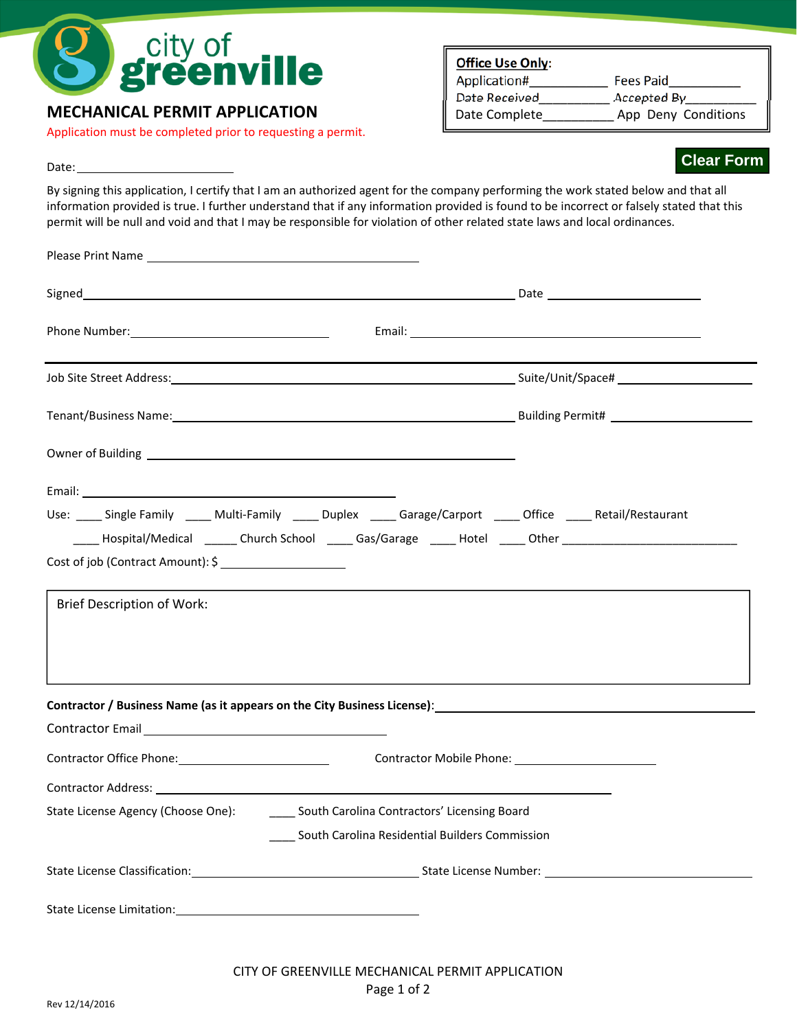

## **MECHANICAL PERMIT APPLICATION**

Application must be completed prior to requesting a permit.

## **Office Use Only**:

| Application#  | <b>Fees Paid</b>    |
|---------------|---------------------|
| Date Received | Accepted By         |
| Date Complete | App Deny Conditions |

## **Clear Form**

Date:

By signing this application, I certify that I am an authorized agent for the company performing the work stated below and that all information provided is true. I further understand that if any information provided is found to be incorrect or falsely stated that this permit will be null and void and that I may be responsible for violation of other related state laws and local ordinances.

| Use: Single Family ____ Multi-Family _____ Duplex _____ Garage/Carport _____ Office _____ Retail/Restaurant     |  |  |  |
|-----------------------------------------------------------------------------------------------------------------|--|--|--|
| _____ Hospital/Medical _______ Church School ______ Gas/Garage ______ Hotel _____ Other _______________________ |  |  |  |
| Cost of job (Contract Amount): \$                                                                               |  |  |  |
| <b>Brief Description of Work:</b>                                                                               |  |  |  |
|                                                                                                                 |  |  |  |
|                                                                                                                 |  |  |  |
|                                                                                                                 |  |  |  |
|                                                                                                                 |  |  |  |
| State License Agency (Choose One): _________ South Carolina Contractors' Licensing Board                        |  |  |  |
| South Carolina Residential Builders Commission                                                                  |  |  |  |
|                                                                                                                 |  |  |  |
|                                                                                                                 |  |  |  |